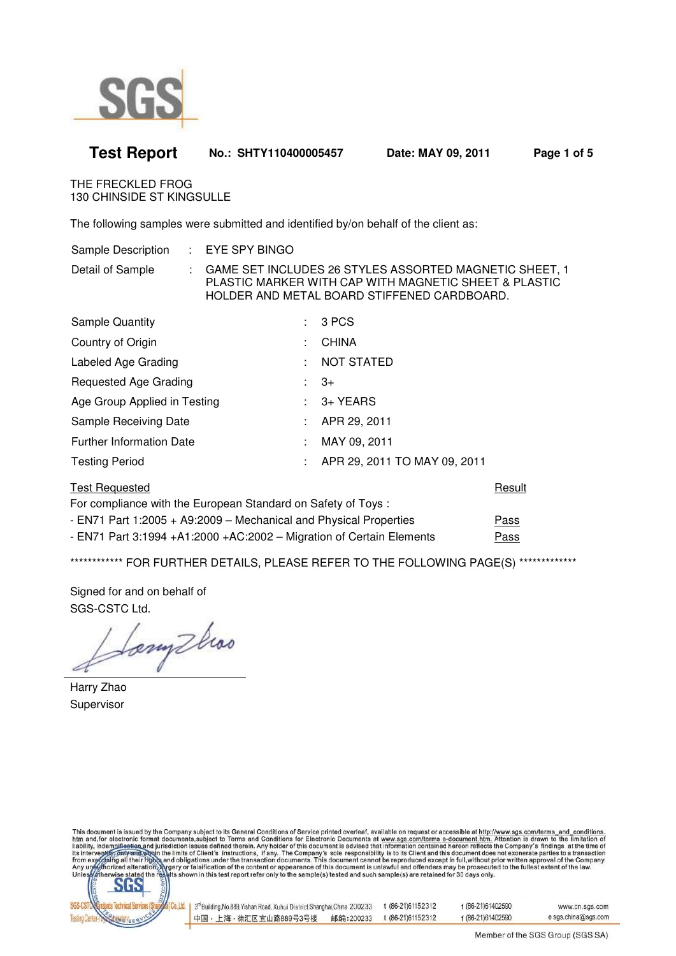

| THE FRECKLED FROG<br><b>130 CHINSIDE ST KINGSULLE</b>                              |                                                                                                                                                                |  |  |  |  |  |  |
|------------------------------------------------------------------------------------|----------------------------------------------------------------------------------------------------------------------------------------------------------------|--|--|--|--|--|--|
| The following samples were submitted and identified by/on behalf of the client as: |                                                                                                                                                                |  |  |  |  |  |  |
| Sample Description<br>÷.                                                           | EYE SPY BINGO                                                                                                                                                  |  |  |  |  |  |  |
| Detail of Sample<br>÷                                                              | GAME SET INCLUDES 26 STYLES ASSORTED MAGNETIC SHEET, 1<br>PLASTIC MARKER WITH CAP WITH MAGNETIC SHEET & PLASTIC<br>HOLDER AND METAL BOARD STIFFENED CARDBOARD. |  |  |  |  |  |  |
| <b>Sample Quantity</b>                                                             | 3 PCS<br>t.                                                                                                                                                    |  |  |  |  |  |  |
| Country of Origin                                                                  | <b>CHINA</b><br>÷                                                                                                                                              |  |  |  |  |  |  |
| Labeled Age Grading                                                                | <b>NOT STATED</b><br>÷                                                                                                                                         |  |  |  |  |  |  |
| Requested Age Grading                                                              | $3+$<br>÷.                                                                                                                                                     |  |  |  |  |  |  |
| Age Group Applied in Testing                                                       | 3+ YEARS<br>÷                                                                                                                                                  |  |  |  |  |  |  |
| Sample Receiving Date                                                              | APR 29, 2011<br>٠                                                                                                                                              |  |  |  |  |  |  |
| <b>Further Information Date</b>                                                    | MAY 09, 2011<br>÷                                                                                                                                              |  |  |  |  |  |  |
| <b>Testing Period</b>                                                              | APR 29, 2011 TO MAY 09, 2011<br>÷                                                                                                                              |  |  |  |  |  |  |
| <b>Test Requested</b>                                                              | Result<br>For compliance with the European Standard on Safety of Toys:                                                                                         |  |  |  |  |  |  |
|                                                                                    |                                                                                                                                                                |  |  |  |  |  |  |

**Test Report No.: SHTY110400005457 Date: MAY 09, 2011 Page 1 of 5** 

- EN71 Part 1:2005 + A9:2009 – Mechanical and Physical Properties Pass - EN71 Part 3:1994 +A1:2000 +AC:2002 – Migration of Certain Elements Pass

\*\*\*\*\*\*\*\*\*\*\*\*\* FOR FURTHER DETAILS, PLEASE REFER TO THE FOLLOWING PAGE(S) \*\*\*\*\*\*\*\*\*\*\*\*\*\*

Signed for and on behalf of SGS-CSTC Ltd.

Sonythos

Harry Zhao Supervisor

This document is issued by the Company subject to its General Conditions of Service printed overleaf, available on request or accessible at http://www.sgs.com/terms\_and\_conditions<br>htm\_and,for electronic format documents,su



| 3 <sup>rd</sup> Building, No.889, Yishan Road, Xuhui District Shanghai, China 200233 |           | t (86-21)61152312 | f (86-21)61402590 | www.cn.sgs.com      |
|--------------------------------------------------------------------------------------|-----------|-------------------|-------------------|---------------------|
| 中国・上海・徐汇区宜山路889号3号楼                                                                  | 邮编:200233 | t (86-21)61152312 | f (86-21)61402590 | e sgs.china@sgs.com |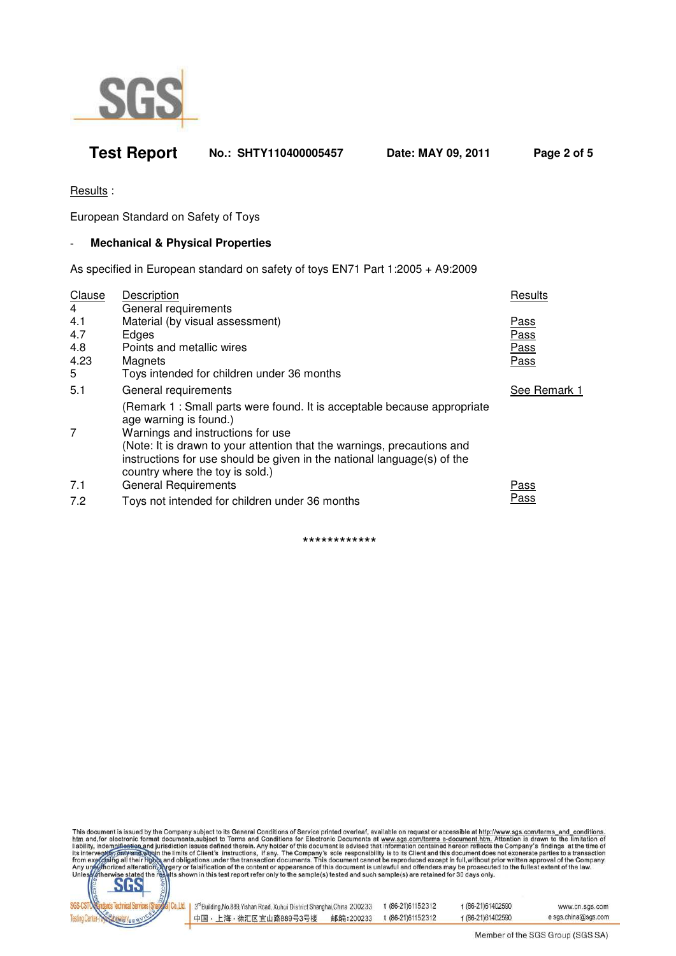

## **Test Report No.: SHTY110400005457 Date: MAY 09, 2011 Page 2 of 5**

Results :

European Standard on Safety of Toys

### - **Mechanical & Physical Properties**

As specified in European standard on safety of toys EN71 Part 1:2005 + A9:2009

| Clause<br>4                    | Description<br>General requirements                                                                                                                                                                                                                                                                                              | Results                                    |
|--------------------------------|----------------------------------------------------------------------------------------------------------------------------------------------------------------------------------------------------------------------------------------------------------------------------------------------------------------------------------|--------------------------------------------|
| 4.1<br>4.7<br>4.8<br>4.23<br>5 | Material (by visual assessment)<br>Edges<br>Points and metallic wires<br>Magnets<br>Toys intended for children under 36 months                                                                                                                                                                                                   | <u>Pass</u><br>Pass<br>Pass<br><b>Pass</b> |
| 5.1                            | General requirements                                                                                                                                                                                                                                                                                                             | See Remark 1                               |
| 7                              | (Remark 1 : Small parts were found. It is acceptable because appropriate<br>age warning is found.)<br>Warnings and instructions for use<br>(Note: It is drawn to your attention that the warnings, precautions and<br>instructions for use should be given in the national language(s) of the<br>country where the toy is sold.) |                                            |
| 7.1                            | <b>General Requirements</b>                                                                                                                                                                                                                                                                                                      | Pass                                       |
| 7.2                            | Toys not intended for children under 36 months                                                                                                                                                                                                                                                                                   | Pass                                       |
|                                |                                                                                                                                                                                                                                                                                                                                  |                                            |

\*\*\*\*\*\*\*\*\*\*\*\*

This document is issued by the Company subject to its General Conditions of Service printed overleaf, available on request or accessible at http://www.sgs.com/terms\_and\_conditions.<br>htm\_and,for electronic format documents,s



| 3 <sup>rd</sup> Building, No.889, Yishan Road, Xuhui District Shanghai, China 200233 |           | t (86-21) 61152312 | f (86-21)61402590 | www.cn.sgs.com      |
|--------------------------------------------------------------------------------------|-----------|--------------------|-------------------|---------------------|
| 中国・上海・徐汇区宜山路889号3号楼                                                                  | 邮编:200233 | t (86-21)61152312  | f (86-21)61402590 | e sgs.china@sgs.com |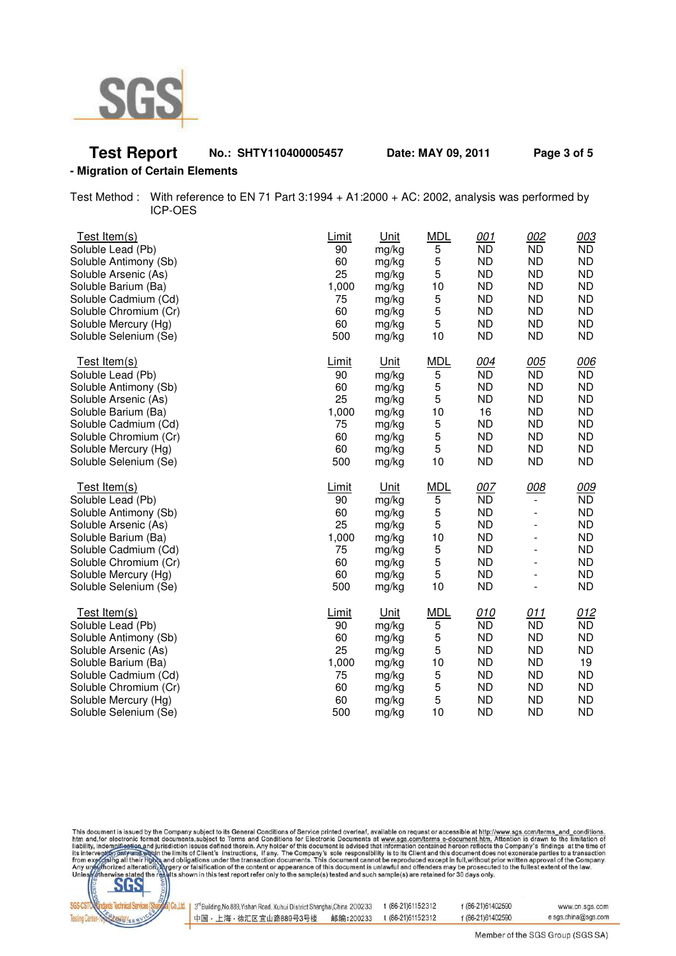

# **Test Report No.: SHTY110400005457 Date: MAY 09, 2011 Page 3 of 5**

### **- Migration of Certain Elements**

Test Method : With reference to EN 71 Part 3:1994 + A1:2000 + AC: 2002, analysis was performed by ICP-OES

| Test Item(s)                                                                                                                                                                                                | Limit                                                            | Unit                                                                                | <b>MDL</b>                                                     | 001                                                                                                         | 002                   | 003                                                                                            |
|-------------------------------------------------------------------------------------------------------------------------------------------------------------------------------------------------------------|------------------------------------------------------------------|-------------------------------------------------------------------------------------|----------------------------------------------------------------|-------------------------------------------------------------------------------------------------------------|-----------------------|------------------------------------------------------------------------------------------------|
| Soluble Lead (Pb)                                                                                                                                                                                           | 90                                                               | mg/kg                                                                               | 5                                                              | <b>ND</b>                                                                                                   | <b>ND</b>             | <b>ND</b>                                                                                      |
| Soluble Antimony (Sb)                                                                                                                                                                                       | 60                                                               | mg/kg                                                                               | 5                                                              | <b>ND</b>                                                                                                   | <b>ND</b>             | <b>ND</b>                                                                                      |
| Soluble Arsenic (As)                                                                                                                                                                                        | 25                                                               | mg/kg                                                                               | 5                                                              | <b>ND</b>                                                                                                   | <b>ND</b>             | <b>ND</b>                                                                                      |
| Soluble Barium (Ba)                                                                                                                                                                                         | 1,000                                                            | mg/kg                                                                               | 10                                                             | <b>ND</b>                                                                                                   | <b>ND</b>             | <b>ND</b>                                                                                      |
| Soluble Cadmium (Cd)                                                                                                                                                                                        | 75                                                               | mg/kg                                                                               | 5                                                              | <b>ND</b>                                                                                                   | <b>ND</b>             | <b>ND</b>                                                                                      |
| Soluble Chromium (Cr)                                                                                                                                                                                       | 60                                                               | mg/kg                                                                               | 5                                                              | <b>ND</b>                                                                                                   | <b>ND</b>             | <b>ND</b>                                                                                      |
| Soluble Mercury (Hg)                                                                                                                                                                                        | 60                                                               | mg/kg                                                                               | 5                                                              | <b>ND</b>                                                                                                   | <b>ND</b>             | <b>ND</b>                                                                                      |
| Soluble Selenium (Se)                                                                                                                                                                                       | 500                                                              | mg/kg                                                                               | 10                                                             | <b>ND</b>                                                                                                   | <b>ND</b>             | <b>ND</b>                                                                                      |
| Test Item(s)                                                                                                                                                                                                | <b>Limit</b>                                                     | <u>Unit</u>                                                                         | <b>MDL</b>                                                     | 004                                                                                                         | 005                   | 006                                                                                            |
| Soluble Lead (Pb)                                                                                                                                                                                           | 90                                                               | mg/kg                                                                               | 5                                                              | <b>ND</b>                                                                                                   | <b>ND</b>             | <b>ND</b>                                                                                      |
| Soluble Antimony (Sb)                                                                                                                                                                                       | 60                                                               | mg/kg                                                                               | 5                                                              | <b>ND</b>                                                                                                   | <b>ND</b>             | <b>ND</b>                                                                                      |
| Soluble Arsenic (As)                                                                                                                                                                                        | 25                                                               | mg/kg                                                                               | 5                                                              | <b>ND</b>                                                                                                   | <b>ND</b>             | <b>ND</b>                                                                                      |
| Soluble Barium (Ba)                                                                                                                                                                                         | 1,000                                                            | mg/kg                                                                               | 10                                                             | 16                                                                                                          | <b>ND</b>             | <b>ND</b>                                                                                      |
| Soluble Cadmium (Cd)                                                                                                                                                                                        | 75                                                               | mg/kg                                                                               | 5                                                              | <b>ND</b>                                                                                                   | <b>ND</b>             | <b>ND</b>                                                                                      |
| Soluble Chromium (Cr)                                                                                                                                                                                       | 60                                                               | mg/kg                                                                               | 5                                                              | <b>ND</b>                                                                                                   | <b>ND</b>             | <b>ND</b>                                                                                      |
| Soluble Mercury (Hg)                                                                                                                                                                                        | 60                                                               | mg/kg                                                                               | 5                                                              | <b>ND</b>                                                                                                   | <b>ND</b>             | <b>ND</b>                                                                                      |
| Soluble Selenium (Se)                                                                                                                                                                                       | 500                                                              | mg/kg                                                                               | 10                                                             | <b>ND</b>                                                                                                   | <b>ND</b>             | <b>ND</b>                                                                                      |
| Test Item(s)<br>Soluble Lead (Pb)<br>Soluble Antimony (Sb)<br>Soluble Arsenic (As)<br>Soluble Barium (Ba)<br>Soluble Cadmium (Cd)<br>Soluble Chromium (Cr)<br>Soluble Mercury (Hg)<br>Soluble Selenium (Se) | <b>Limit</b><br>90<br>60<br>25<br>1,000<br>75<br>60<br>60<br>500 | <u>Unit</u><br>mg/kg<br>mg/kg<br>mg/kg<br>mg/kg<br>mg/kg<br>mg/kg<br>mg/kg<br>mg/kg | <b>MDL</b><br>5<br>5<br>5<br>10<br>$\mathbf 5$<br>5<br>5<br>10 | 007<br><b>ND</b><br><b>ND</b><br><b>ND</b><br><b>ND</b><br><b>ND</b><br><b>ND</b><br><b>ND</b><br><b>ND</b> | 008<br>$\blacksquare$ | 009<br>ND.<br><b>ND</b><br><b>ND</b><br><b>ND</b><br><b>ND</b><br><b>ND</b><br>ND<br><b>ND</b> |
| Test Item(s)                                                                                                                                                                                                | Limit                                                            | <u>Unit</u>                                                                         | <b>MDL</b>                                                     | <u>010</u>                                                                                                  | <u>011</u>            | <u>012</u>                                                                                     |
| Soluble Lead (Pb)                                                                                                                                                                                           | 90                                                               | mg/kg                                                                               | 5                                                              | <b>ND</b>                                                                                                   | <b>ND</b>             | <b>ND</b>                                                                                      |
| Soluble Antimony (Sb)                                                                                                                                                                                       | 60                                                               | mg/kg                                                                               | 5                                                              | <b>ND</b>                                                                                                   | <b>ND</b>             | <b>ND</b>                                                                                      |
| Soluble Arsenic (As)                                                                                                                                                                                        | 25                                                               | mg/kg                                                                               | 5                                                              | <b>ND</b>                                                                                                   | <b>ND</b>             | <b>ND</b>                                                                                      |
| Soluble Barium (Ba)                                                                                                                                                                                         | 1,000                                                            | mg/kg                                                                               | 10                                                             | <b>ND</b>                                                                                                   | <b>ND</b>             | 19                                                                                             |
| Soluble Cadmium (Cd)                                                                                                                                                                                        | 75                                                               | mg/kg                                                                               | 5                                                              | <b>ND</b>                                                                                                   | <b>ND</b>             | <b>ND</b>                                                                                      |
| Soluble Chromium (Cr)                                                                                                                                                                                       | 60                                                               | mg/kg                                                                               | 5                                                              | <b>ND</b>                                                                                                   | <b>ND</b>             | <b>ND</b>                                                                                      |
| Soluble Mercury (Hg)                                                                                                                                                                                        | 60                                                               | mg/kg                                                                               | 5                                                              | <b>ND</b>                                                                                                   | <b>ND</b>             | <b>ND</b>                                                                                      |
| Soluble Selenium (Se)                                                                                                                                                                                       | 500                                                              | mg/kg                                                                               | 10                                                             | <b>ND</b>                                                                                                   | <b>ND</b>             | <b>ND</b>                                                                                      |

This document is issued by the Company subject to its General Conditions of Service printed overleaf, available on request or accessible at http://www.sgs.com/terms\_and\_conditions.<br>htm\_and,for electronic format documents,



| 13 <sup>rd</sup> Building, No. 889, Yishan Road, Xuhui District Shanghai, China 200233 |           | t (86-21)61152312 | f (86-21)61402590 | www.cn.sgs.com      |
|----------------------------------------------------------------------------------------|-----------|-------------------|-------------------|---------------------|
| 中国・上海・徐汇区宜山路889号3号楼                                                                    | 邮编:200233 | t (86-21)61152312 | f (86-21)61402590 | e sgs.china@sgs.com |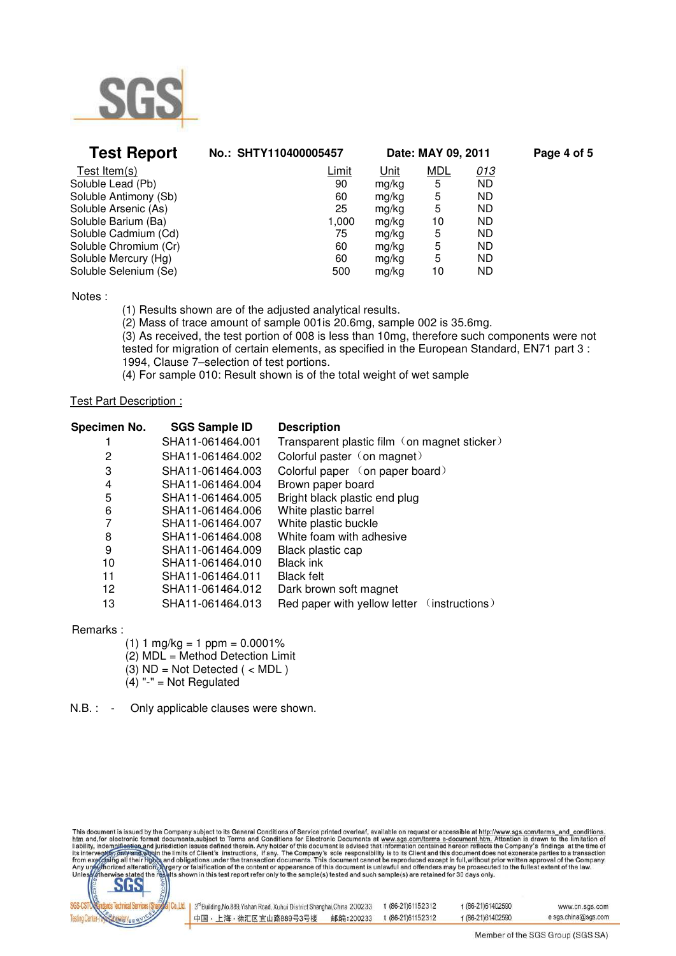

| <b>Test Report</b>    | No.: SHTY110400005457 | Date: MAY 09, 2011 |            |            | Page 4 of 5 |
|-----------------------|-----------------------|--------------------|------------|------------|-------------|
| Test Item(s)          | Limit                 | Unit               | <b>MDL</b> | <u>013</u> |             |
| Soluble Lead (Pb)     | 90                    | mg/kg              | 5          | <b>ND</b>  |             |
| Soluble Antimony (Sb) | 60                    | mg/kg              | 5          | <b>ND</b>  |             |
| Soluble Arsenic (As)  | 25                    | mg/kg              | 5          | <b>ND</b>  |             |
| Soluble Barium (Ba)   | 1,000                 | mg/kg              | 10         | <b>ND</b>  |             |
| Soluble Cadmium (Cd)  | 75                    | mg/kg              | 5          | <b>ND</b>  |             |
| Soluble Chromium (Cr) | 60                    | mg/kg              | 5          | <b>ND</b>  |             |
| Soluble Mercury (Hg)  | 60                    | mg/kg              | 5          | <b>ND</b>  |             |
| Soluble Selenium (Se) | 500                   | mg/kg              | 10         | <b>ND</b>  |             |

Notes :

(1) Results shown are of the adjusted analytical results.

 (2) Mass of trace amount of sample 001is 20.6mg, sample 002 is 35.6mg. (3) As received, the test portion of 008 is less than 10mg, therefore such components were not tested for migration of certain elements, as specified in the European Standard, EN71 part 3 : 1994, Clause 7–selection of test portions.

(4) For sample 010: Result shown is of the total weight of wet sample

#### Test Part Description :

| Specimen No.     | <b>SGS Sample ID</b> | <b>Description</b>                           |
|------------------|----------------------|----------------------------------------------|
| SHA11-061464.001 |                      | Transparent plastic film (on magnet sticker) |
| 2                | SHA11-061464.002     | Colorful paster (on magnet)                  |
| 3                | SHA11-061464.003     | Colorful paper (on paper board)              |
| 4                | SHA11-061464.004     | Brown paper board                            |
| 5                | SHA11-061464.005     | Bright black plastic end plug                |
| 6                | SHA11-061464.006     | White plastic barrel                         |
| 7                | SHA11-061464.007     | White plastic buckle                         |
| 8                | SHA11-061464.008     | White foam with adhesive                     |
| 9                | SHA11-061464.009     | Black plastic cap                            |
| 10               | SHA11-061464.010     | <b>Black ink</b>                             |
| 11               | SHA11-061464.011     | <b>Black felt</b>                            |
| 12               | SHA11-061464.012     | Dark brown soft magnet                       |
| 13               | SHA11-061464.013     | Red paper with yellow letter (instructions)  |

Remarks :

 $(1)$  1 mg/kg = 1 ppm = 0.0001%  $(2)$  MDL = Method Detection Limit  $(3)$  ND = Not Detected ( < MDL)  $(4)$  "-" = Not Regulated

N.B. : - Only applicable clauses were shown.

This document is issued by the Company subject to its General Conditions of Service printed overleaf, available on request or accessible at http://www.sgs.com/terms\_and\_conditions<br>htm\_and,for electronic format documents,su



| 3 <sup>rd</sup> Building, No.889, Yishan Road, Xuhui District Shanghai, China 200233 |           | t (86-21)61152312 | f (86-21)61402590 | www.cn.sgs.com      |
|--------------------------------------------------------------------------------------|-----------|-------------------|-------------------|---------------------|
| 中国・上海・徐汇区宜山路889号3号楼                                                                  | 邮编:200233 | t (86-21)61152312 | f (86-21)61402590 | e sgs.china@sgs.com |